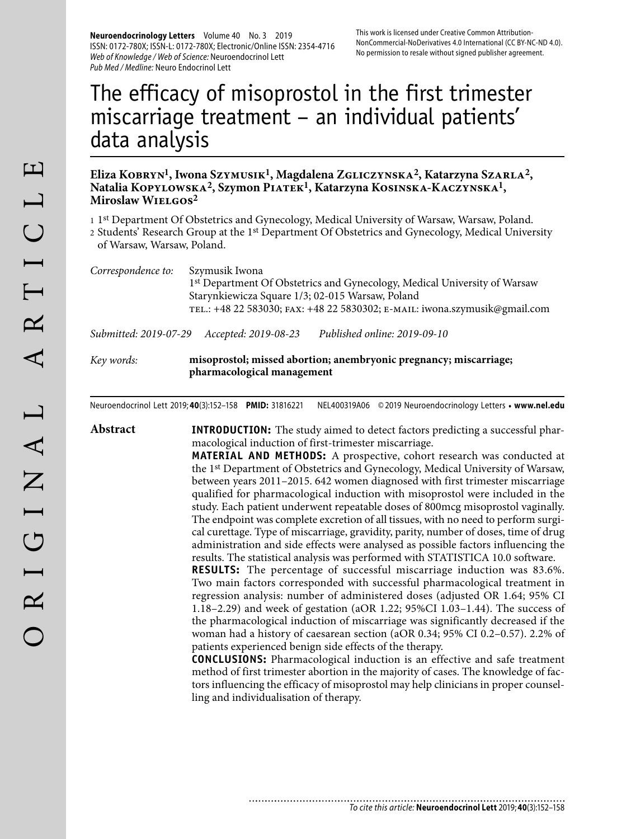**Neuroendocrinology Letters** Volume 40 No. 3 2019 ISSN: 0172-780X; ISSN-L: 0172-780X; Electronic/Online ISSN: 2354-4716 Web of Knowledge / Web of Science: Neuroendocrinol Lett Pub Med / Medline: Neuro Endocrinol Lett

# The efficacy of misoprostol in the first trimester miscarriage treatment – an individual patients' data analysis

**Eliza Kobryn1, Iwona Szymusik1, Magdalena Zgliczynska2, Katarzyna Szarla2, Natalia Kopylowska2, Szymon Piatek1, Katarzyna Kosinska-Kaczynska1, Miroslaw Wielgos2**

1 1st Department Of Obstetrics and Gynecology, Medical University of Warsaw, Warsaw, Poland.

2 Students' Research Group at the 1st Department Of Obstetrics and Gynecology, Medical University of Warsaw, Warsaw, Poland.

| Correspondence to: | Szymusik Iwona                                                             |
|--------------------|----------------------------------------------------------------------------|
|                    | 1st Department Of Obstetrics and Gynecology, Medical University of Warsaw  |
|                    | Starynkiewicza Square 1/3; 02-015 Warsaw, Poland                           |
|                    | TEL.: +48 22 583030; FAX: +48 22 5830302; E-MAIL: iwona.szymusik@gmail.com |
|                    |                                                                            |

*Submitted: 2019-07-29 Accepted: 2019-08-23 Published online: 2019-09-10*

*Key words:* **misoprostol; missed abortion; anembryonic pregnancy; miscarriage; pharmacological management** 

.............................

Neuroendocrinol Lett 2019; **40**(3):152–158 **PMID:** 31816221 NEL400319A06 © 2019 Neuroendocrinology Letters • **www.nel.edu**

**Abstract INTRODUCTION:** The study aimed to detect factors predicting a successful pharmacological induction of first-trimester miscarriage. **MATERIAL AND METHODS:** A prospective, cohort research was conducted at the 1st Department of Obstetrics and Gynecology, Medical University of Warsaw, between years 2011–2015. 642 women diagnosed with first trimester miscarriage

> qualified for pharmacological induction with misoprostol were included in the study. Each patient underwent repeatable doses of 800mcg misoprostol vaginally. The endpoint was complete excretion of all tissues, with no need to perform surgical curettage. Type of miscarriage, gravidity, parity, number of doses, time of drug administration and side effects were analysed as possible factors influencing the results. The statistical analysis was performed with STATISTICA 10.0 software.

**RESULTS:** The percentage of successful miscarriage induction was 83.6%. Two main factors corresponded with successful pharmacological treatment in regression analysis: number of administered doses (adjusted OR 1.64; 95% CI 1.18–2.29) and week of gestation (aOR 1.22; 95%CI 1.03–1.44). The success of the pharmacological induction of miscarriage was significantly decreased if the woman had a history of caesarean section (aOR 0.34; 95% CI 0.2–0.57). 2.2% of patients experienced benign side effects of the therapy.

**CONCLUSIONS:** Pharmacological induction is an effective and safe treatment method of first trimester abortion in the majority of cases. The knowledge of factors influencing the efficacy of misoprostol may help clinicians in proper counselling and individualisation of therapy.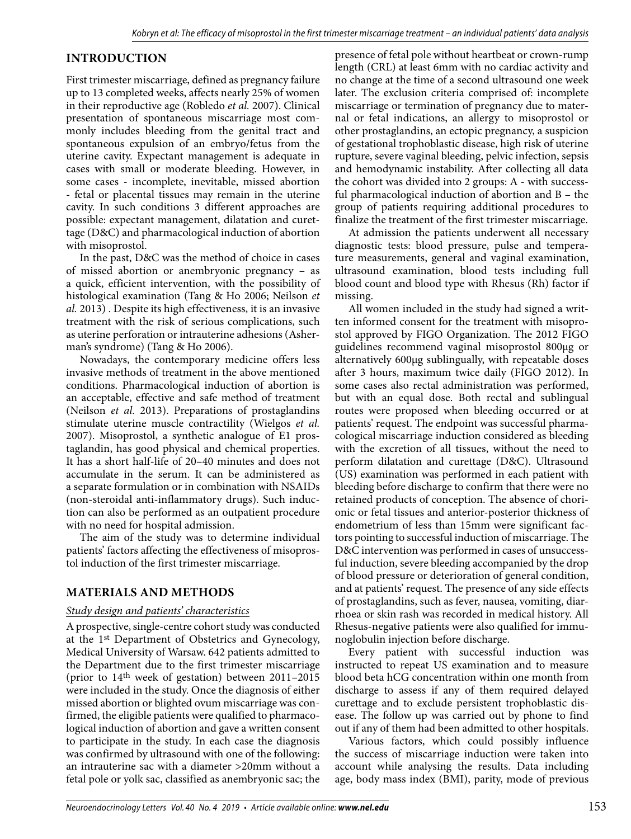# **INTRODUCTION**

First trimester miscarriage, defined as pregnancy failure up to 13 completed weeks, affects nearly 25% of women in their reproductive age (Robledo *et al.* 2007). Clinical presentation of spontaneous miscarriage most commonly includes bleeding from the genital tract and spontaneous expulsion of an embryo/fetus from the uterine cavity. Expectant management is adequate in cases with small or moderate bleeding. However, in some cases - incomplete, inevitable, missed abortion - fetal or placental tissues may remain in the uterine cavity. In such conditions 3 different approaches are possible: expectant management, dilatation and curettage (D&C) and pharmacological induction of abortion with misoprostol.

In the past, D&C was the method of choice in cases of missed abortion or anembryonic pregnancy – as a quick, efficient intervention, with the possibility of histological examination (Tang & Ho 2006; Neilson *et al.* 2013) . Despite its high effectiveness, it is an invasive treatment with the risk of serious complications, such as uterine perforation or intrauterine adhesions (Asherman's syndrome) (Tang & Ho 2006).

Nowadays, the contemporary medicine offers less invasive methods of treatment in the above mentioned conditions. Pharmacological induction of abortion is an acceptable, effective and safe method of treatment (Neilson *et al.* 2013). Preparations of prostaglandins stimulate uterine muscle contractility (Wielgos *et al.* 2007). Misoprostol, a synthetic analogue of E1 prostaglandin, has good physical and chemical properties. It has a short half-life of 20–40 minutes and does not accumulate in the serum. It can be administered as a separate formulation or in combination with NSAIDs (non-steroidal anti-inflammatory drugs). Such induction can also be performed as an outpatient procedure with no need for hospital admission.

The aim of the study was to determine individual patients' factors affecting the effectiveness of misoprostol induction of the first trimester miscarriage.

# **MATERIALS AND METHODS**

#### *Study design and patients' characteristics*

A prospective, single-centre cohort study was conducted at the 1st Department of Obstetrics and Gynecology, Medical University of Warsaw. 642 patients admitted to the Department due to the first trimester miscarriage (prior to 14th week of gestation) between 2011–2015 were included in the study. Once the diagnosis of either missed abortion or blighted ovum miscarriage was confirmed, the eligible patients were qualified to pharmacological induction of abortion and gave a written consent to participate in the study. In each case the diagnosis was confirmed by ultrasound with one of the following: an intrauterine sac with a diameter >20mm without a fetal pole or yolk sac, classified as anembryonic sac; the

presence of fetal pole without heartbeat or crown-rump length (CRL) at least 6mm with no cardiac activity and no change at the time of a second ultrasound one week later. The exclusion criteria comprised of: incomplete miscarriage or termination of pregnancy due to maternal or fetal indications, an allergy to misoprostol or other prostaglandins, an ectopic pregnancy, a suspicion of gestational trophoblastic disease, high risk of uterine rupture, severe vaginal bleeding, pelvic infection, sepsis and hemodynamic instability. After collecting all data the cohort was divided into 2 groups: A - with successful pharmacological induction of abortion and B – the group of patients requiring additional procedures to finalize the treatment of the first trimester miscarriage.

At admission the patients underwent all necessary diagnostic tests: blood pressure, pulse and temperature measurements, general and vaginal examination, ultrasound examination, blood tests including full blood count and blood type with Rhesus (Rh) factor if missing.

All women included in the study had signed a written informed consent for the treatment with misoprostol approved by FIGO Organization. The 2012 FIGO guidelines recommend vaginal misoprostol 800μg or alternatively 600μg sublingually, with repeatable doses after 3 hours, maximum twice daily (FIGO 2012). In some cases also rectal administration was performed, but with an equal dose. Both rectal and sublingual routes were proposed when bleeding occurred or at patients' request. The endpoint was successful pharmacological miscarriage induction considered as bleeding with the excretion of all tissues, without the need to perform dilatation and curettage (D&C). Ultrasound (US) examination was performed in each patient with bleeding before discharge to confirm that there were no retained products of conception. The absence of chorionic or fetal tissues and anterior-posterior thickness of endometrium of less than 15mm were significant factors pointing to successful induction of miscarriage. The D&C intervention was performed in cases of unsuccessful induction, severe bleeding accompanied by the drop of blood pressure or deterioration of general condition, and at patients' request. The presence of any side effects of prostaglandins, such as fever, nausea, vomiting, diarrhoea or skin rash was recorded in medical history. All Rhesus-negative patients were also qualified for immunoglobulin injection before discharge.

Every patient with successful induction was instructed to repeat US examination and to measure blood beta hCG concentration within one month from discharge to assess if any of them required delayed curettage and to exclude persistent trophoblastic disease. The follow up was carried out by phone to find out if any of them had been admitted to other hospitals.

Various factors, which could possibly influence the success of miscarriage induction were taken into account while analysing the results. Data including age, body mass index (BMI), parity, mode of previous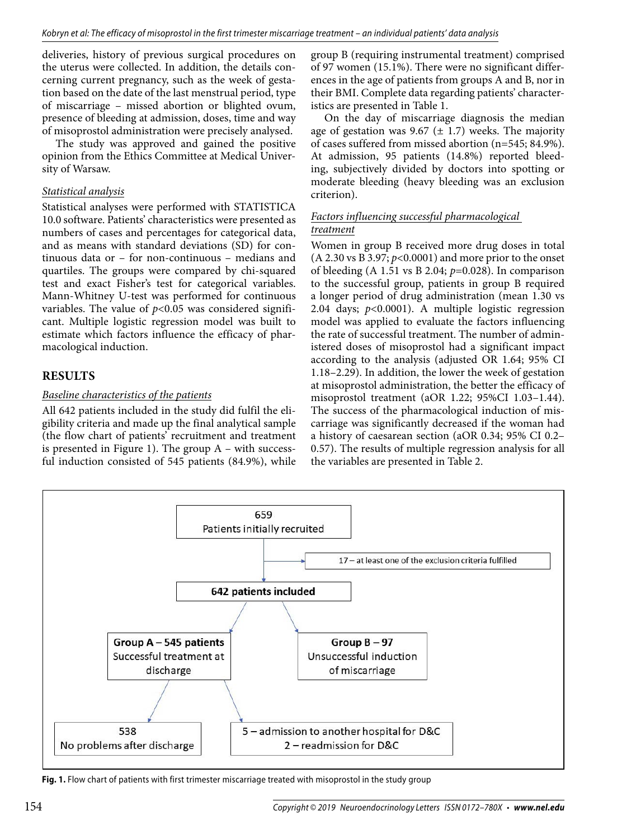deliveries, history of previous surgical procedures on the uterus were collected. In addition, the details concerning current pregnancy, such as the week of gestation based on the date of the last menstrual period, type of miscarriage – missed abortion or blighted ovum, presence of bleeding at admission, doses, time and way of misoprostol administration were precisely analysed.

The study was approved and gained the positive opinion from the Ethics Committee at Medical University of Warsaw.

## *Statistical analysis*

Statistical analyses were performed with STATISTICA 10.0 software. Patients' characteristics were presented as numbers of cases and percentages for categorical data, and as means with standard deviations (SD) for continuous data or – for non-continuous – medians and quartiles. The groups were compared by chi-squared test and exact Fisher's test for categorical variables. Mann-Whitney U-test was performed for continuous variables. The value of  $p<0.05$  was considered significant. Multiple logistic regression model was built to estimate which factors influence the efficacy of pharmacological induction.

# **RESULTS**

## *Baseline characteristics of the patients*

All 642 patients included in the study did fulfil the eligibility criteria and made up the final analytical sample (the flow chart of patients' recruitment and treatment is presented in Figure 1). The group A – with successful induction consisted of 545 patients (84.9%), while

group B (requiring instrumental treatment) comprised of 97 women (15.1%). There were no significant differences in the age of patients from groups A and B, nor in their BMI. Complete data regarding patients' characteristics are presented in Table 1.

On the day of miscarriage diagnosis the median age of gestation was 9.67 ( $\pm$  1.7) weeks. The majority of cases suffered from missed abortion (n=545; 84.9%). At admission, 95 patients (14.8%) reported bleeding, subjectively divided by doctors into spotting or moderate bleeding (heavy bleeding was an exclusion criterion).

#### *Factors influencing successful pharmacological treatment*

Women in group B received more drug doses in total (A 2.30 vs B 3.97; *p*<0.0001) and more prior to the onset of bleeding (A 1.51 vs B 2.04; *p*=0.028). In comparison to the successful group, patients in group B required a longer period of drug administration (mean 1.30 vs 2.04 days; *p*<0.0001). A multiple logistic regression model was applied to evaluate the factors influencing the rate of successful treatment. The number of administered doses of misoprostol had a significant impact according to the analysis (adjusted OR 1.64; 95% CI 1.18–2.29). In addition, the lower the week of gestation at misoprostol administration, the better the efficacy of misoprostol treatment (aOR 1.22; 95%CI 1.03–1.44). The success of the pharmacological induction of miscarriage was significantly decreased if the woman had a history of caesarean section (aOR 0.34; 95% CI 0.2– 0.57). The results of multiple regression analysis for all the variables are presented in Table 2.



**Fig. 1.** Flow chart of patients with first trimester miscarriage treated with misoprostol in the study group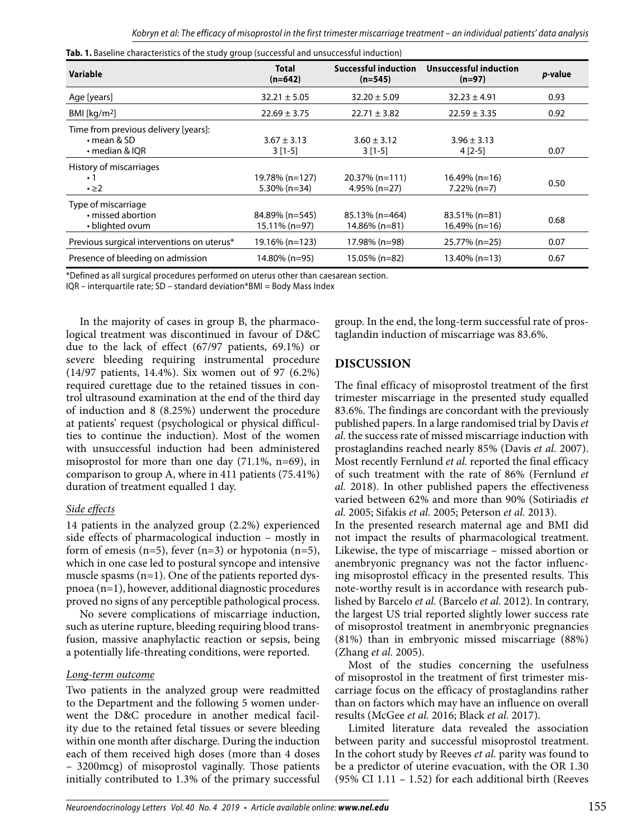|  |  |  | Tab. 1. Baseline characteristics of the study group (successful and unsuccessful induction) |  |
|--|--|--|---------------------------------------------------------------------------------------------|--|
|--|--|--|---------------------------------------------------------------------------------------------|--|

| Variable                                   | <b>Total</b><br>$(n=642)$ | <b>Successful induction</b><br>$(n=545)$ | <b>Unsuccessful induction</b><br>$(n=97)$ | <i>p</i> -value |
|--------------------------------------------|---------------------------|------------------------------------------|-------------------------------------------|-----------------|
| Age [years]                                | $32.21 \pm 5.05$          | $32.20 \pm 5.09$                         | $32.23 \pm 4.91$                          | 0.93            |
| BMI [ $\text{kg/m}^2$ ]                    | $22.69 \pm 3.75$          | $22.71 \pm 3.82$                         | $22.59 \pm 3.35$                          | 0.92            |
| Time from previous delivery [years]:       |                           |                                          |                                           |                 |
| $\cdot$ mean & SD                          | $3.67 \pm 3.13$           | $3.60 \pm 3.12$                          | $3.96 \pm 3.13$                           |                 |
| $\cdot$ median & IOR                       | $3$ [1-5]                 | $3[1-5]$                                 | $4$ [2-5]                                 | 0.07            |
| History of miscarriages                    |                           |                                          |                                           |                 |
| $\cdot$ 1                                  | 19.78% (n=127)            | $20.37\%$ (n=111)                        | $16.49\%$ (n=16)                          |                 |
| $\cdot$ $\geq$ 2                           | $5.30\%$ (n=34)           | $4.95\%$ (n=27)                          | $7.22\%$ (n=7)                            | 0.50            |
| Type of miscarriage                        |                           |                                          |                                           |                 |
| · missed abortion                          | 84.89% (n=545)            | $85.13\%$ (n=464)                        | $83.51\%$ (n=81)                          |                 |
| • blighted ovum                            | 15.11% (n=97)             | 14.86% (n=81)                            | $16.49\%$ (n=16)                          | 0.68            |
| Previous surgical interventions on uterus* | 19.16% (n=123)            | 17.98% (n=98)                            | 25.77% (n=25)                             | 0.07            |
| Presence of bleeding on admission          | 14.80% (n=95)             | 15.05% (n=82)                            | $13.40\%$ (n=13)                          | 0.67            |

\*Defined as all surgical procedures performed on uterus other than caesarean section.

IQR – interquartile rate; SD – standard deviation\*BMI = Body Mass Index

In the majority of cases in group B, the pharmacological treatment was discontinued in favour of D&C due to the lack of effect (67/97 patients, 69.1%) or severe bleeding requiring instrumental procedure (14/97 patients, 14.4%). Six women out of 97 (6.2%) required curettage due to the retained tissues in control ultrasound examination at the end of the third day of induction and 8 (8.25%) underwent the procedure at patients' request (psychological or physical difficulties to continue the induction). Most of the women with unsuccessful induction had been administered misoprostol for more than one day (71.1%, n=69), in comparison to group A, where in 411 patients (75.41%) duration of treatment equalled 1 day.

#### *Side effects*

14 patients in the analyzed group (2.2%) experienced side effects of pharmacological induction – mostly in form of emesis (n=5), fever (n=3) or hypotonia (n=5), which in one case led to postural syncope and intensive muscle spasms (n=1). One of the patients reported dyspnoea (n=1), however, additional diagnostic procedures proved no signs of any perceptible pathological process.

No severe complications of miscarriage induction, such as uterine rupture, bleeding requiring blood transfusion, massive anaphylactic reaction or sepsis, being a potentially life-threating conditions, were reported.

#### *Long-term outcome*

Two patients in the analyzed group were readmitted to the Department and the following 5 women underwent the D&C procedure in another medical facility due to the retained fetal tissues or severe bleeding within one month after discharge. During the induction each of them received high doses (more than 4 doses – 3200mcg) of misoprostol vaginally. Those patients initially contributed to 1.3% of the primary successful

group. In the end, the long-term successful rate of prostaglandin induction of miscarriage was 83.6%.

# **DISCUSSION**

The final efficacy of misoprostol treatment of the first trimester miscarriage in the presented study equalled 83.6%. The findings are concordant with the previously published papers. In a large randomised trial by Davis *et al.* the success rate of missed miscarriage induction with prostaglandins reached nearly 85% (Davis *et al.* 2007). Most recently Fernlund *et al.* reported the final efficacy of such treatment with the rate of 86% (Fernlund *et al.* 2018). In other published papers the effectiveness varied between 62% and more than 90% (Sotiriadis *et al.* 2005; Sifakis *et al.* 2005; Peterson *et al.* 2013).

In the presented research maternal age and BMI did not impact the results of pharmacological treatment. Likewise, the type of miscarriage – missed abortion or anembryonic pregnancy was not the factor influencing misoprostol efficacy in the presented results. This note-worthy result is in accordance with research published by Barcelo *et al.* (Barcelo *et al.* 2012). In contrary, the largest US trial reported slightly lower success rate of misoprostol treatment in anembryonic pregnancies (81%) than in embryonic missed miscarriage (88%) (Zhang *et al.* 2005).

Most of the studies concerning the usefulness of misoprostol in the treatment of first trimester miscarriage focus on the efficacy of prostaglandins rather than on factors which may have an influence on overall results (McGee *et al.* 2016; Black *et al.* 2017).

Limited literature data revealed the association between parity and successful misoprostol treatment. In the cohort study by Reeves *et al.* parity was found to be a predictor of uterine evacuation, with the OR 1.30 (95% CI 1.11 – 1.52) for each additional birth (Reeves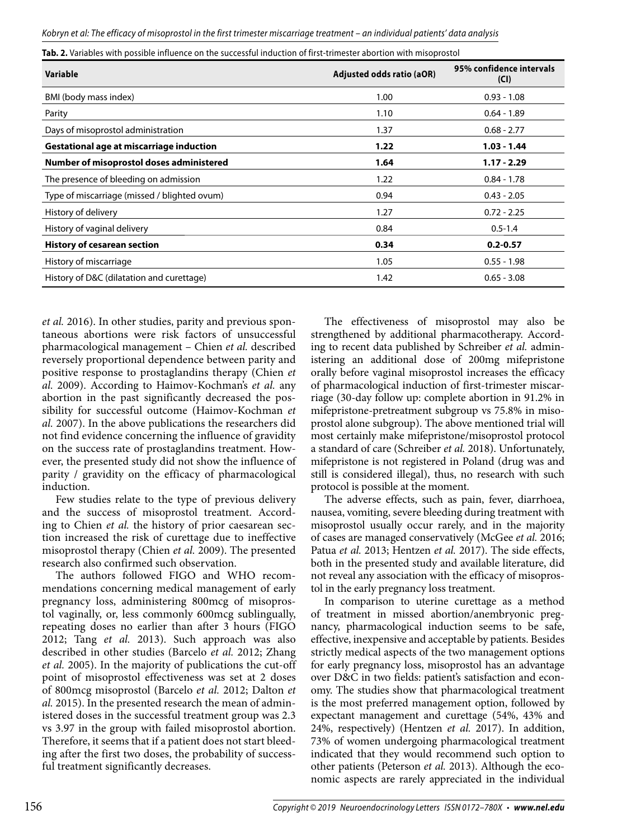Kobryn et al: The efficacy of misoprostol in the first trimester miscarriage treatment – an individual patients' data analysis

| Variable                                        | Adjusted odds ratio (aOR) | 95% confidence intervals<br>(Cl) |  |
|-------------------------------------------------|---------------------------|----------------------------------|--|
| BMI (body mass index)                           | 1.00                      | $0.93 - 1.08$                    |  |
| Parity                                          | 1.10                      | $0.64 - 1.89$                    |  |
| Days of misoprostol administration              | 1.37                      | $0.68 - 2.77$                    |  |
| <b>Gestational age at miscarriage induction</b> | 1.22                      | $1.03 - 1.44$                    |  |
| Number of misoprostol doses administered        | 1.64                      | $1.17 - 2.29$                    |  |
| The presence of bleeding on admission           | 1.22                      | $0.84 - 1.78$                    |  |
| Type of miscarriage (missed / blighted ovum)    | 0.94                      | $0.43 - 2.05$                    |  |
| History of delivery                             | 1.27                      | $0.72 - 2.25$                    |  |
| History of vaginal delivery                     | 0.84                      | $0.5 - 1.4$                      |  |
| <b>History of cesarean section</b>              | 0.34                      | $0.2 - 0.57$                     |  |
| History of miscarriage                          | 1.05                      | $0.55 - 1.98$                    |  |
| History of D&C (dilatation and curettage)       | 1.42                      | $0.65 - 3.08$                    |  |

**Tab. 2 .** Variables with possible influence on the successful induction of first-trimester abortion with misoprostol

*et al.* 2016). In other studies, parity and previous spontaneous abortions were risk factors of unsuccessful pharmacological management – Chien *et al.* described reversely proportional dependence between parity and positive response to prostaglandins therapy (Chien *et al.* 2009). According to Haimov-Kochman's *et al.* any abortion in the past significantly decreased the possibility for successful outcome (Haimov-Kochman *et al.* 2007). In the above publications the researchers did not find evidence concerning the influence of gravidity on the success rate of prostaglandins treatment. However, the presented study did not show the influence of parity / gravidity on the efficacy of pharmacological induction.

Few studies relate to the type of previous delivery and the success of misoprostol treatment. According to Chien *et al.* the history of prior caesarean section increased the risk of curettage due to ineffective misoprostol therapy (Chien *et al.* 2009). The presented research also confirmed such observation.

The authors followed FIGO and WHO recommendations concerning medical management of early pregnancy loss, administering 800mcg of misoprostol vaginally, or, less commonly 600mcg sublingually, repeating doses no earlier than after 3 hours (FIGO 2012; Tang *et al.* 2013). Such approach was also described in other studies (Barcelo *et al.* 2012; Zhang *et al.* 2005). In the majority of publications the cut-off point of misoprostol effectiveness was set at 2 doses of 800mcg misoprostol (Barcelo *et al.* 2012; Dalton *et al.* 2015). In the presented research the mean of administered doses in the successful treatment group was 2.3 vs 3.97 in the group with failed misoprostol abortion. Therefore, it seems that if a patient does not start bleeding after the first two doses, the probability of successful treatment significantly decreases.

The effectiveness of misoprostol may also be strengthened by additional pharmacotherapy. According to recent data published by Schreiber *et al.* administering an additional dose of 200mg mifepristone orally before vaginal misoprostol increases the efficacy of pharmacological induction of first-trimester miscarriage (30-day follow up: complete abortion in 91.2% in mifepristone-pretreatment subgroup vs 75.8% in misoprostol alone subgroup). The above mentioned trial will most certainly make mifepristone/misoprostol protocol a standard of care (Schreiber *et al.* 2018). Unfortunately, mifepristone is not registered in Poland (drug was and still is considered illegal), thus, no research with such protocol is possible at the moment.

The adverse effects, such as pain, fever, diarrhoea, nausea, vomiting, severe bleeding during treatment with misoprostol usually occur rarely, and in the majority of cases are managed conservatively (McGee *et al.* 2016; Patua *et al.* 2013; Hentzen *et al.* 2017). The side effects, both in the presented study and available literature, did not reveal any association with the efficacy of misoprostol in the early pregnancy loss treatment.

In comparison to uterine curettage as a method of treatment in missed abortion/anembryonic pregnancy, pharmacological induction seems to be safe, effective, inexpensive and acceptable by patients. Besides strictly medical aspects of the two management options for early pregnancy loss, misoprostol has an advantage over D&C in two fields: patient's satisfaction and economy. The studies show that pharmacological treatment is the most preferred management option, followed by expectant management and curettage (54%, 43% and 24%, respectively) (Hentzen *et al.* 2017). In addition, 73% of women undergoing pharmacological treatment indicated that they would recommend such option to other patients (Peterson *et al.* 2013). Although the economic aspects are rarely appreciated in the individual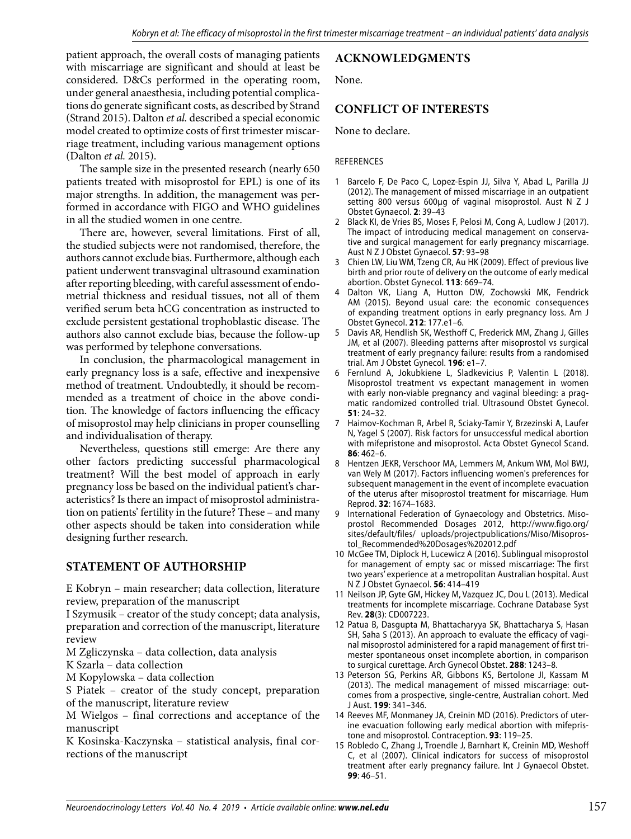patient approach, the overall costs of managing patients with miscarriage are significant and should at least be considered. D&Cs performed in the operating room, under general anaesthesia, including potential complications do generate significant costs, as described by Strand (Strand 2015). Dalton *et al.* described a special economic model created to optimize costs of first trimester miscarriage treatment, including various management options (Dalton *et al.* 2015).

The sample size in the presented research (nearly 650 patients treated with misoprostol for EPL) is one of its major strengths. In addition, the management was performed in accordance with FIGO and WHO guidelines in all the studied women in one centre.

There are, however, several limitations. First of all, the studied subjects were not randomised, therefore, the authors cannot exclude bias. Furthermore, although each patient underwent transvaginal ultrasound examination after reporting bleeding, with careful assessment of endometrial thickness and residual tissues, not all of them verified serum beta hCG concentration as instructed to exclude persistent gestational trophoblastic disease. The authors also cannot exclude bias, because the follow-up was performed by telephone conversations.

In conclusion, the pharmacological management in early pregnancy loss is a safe, effective and inexpensive method of treatment. Undoubtedly, it should be recommended as a treatment of choice in the above condition. The knowledge of factors influencing the efficacy of misoprostol may help clinicians in proper counselling and individualisation of therapy.

Nevertheless, questions still emerge: Are there any other factors predicting successful pharmacological treatment? Will the best model of approach in early pregnancy loss be based on the individual patient's characteristics? Is there an impact of misoprostol administration on patients' fertility in the future? These – and many other aspects should be taken into consideration while designing further research.

## **STATEMENT OF AUTHORSHIP**

E Kobryn – main researcher; data collection, literature review, preparation of the manuscript

I Szymusik – creator of the study concept; data analysis, preparation and correction of the manuscript, literature review

M Zgliczynska – data collection, data analysis

K Szarla – data collection

M Kopylowska – data collection

S Piatek – creator of the study concept, preparation of the manuscript, literature review

M Wielgos – final corrections and acceptance of the manuscript

K Kosinska-Kaczynska – statistical analysis, final corrections of the manuscript

## **ACKNOWLEDGMENTS**

None.

## **CONFLICT OF INTERESTS**

None to declare.

#### REFERENCES

- 1 Barcelo F, De Paco C, Lopez-Espin JJ, Silva Y, Abad L, Parilla JJ (2012). The management of missed miscarriage in an outpatient setting 800 versus 600μg of vaginal misoprostol. Aust N Z J Obstet Gynaecol. **2**: 39–43
- 2 Black KI, de Vries BS, Moses F, Pelosi M, Cong A, Ludlow J (2017). The impact of introducing medical management on conservative and surgical management for early pregnancy miscarriage. Aust N Z J Obstet Gynaecol. **57**: 93–98
- 3 Chien LW, Liu WM, Tzeng CR, Au HK (2009). Effect of previous live birth and prior route of delivery on the outcome of early medical abortion. Obstet Gynecol. **113**: 669–74.
- 4 Dalton VK, Liang A, Hutton DW, Zochowski MK, Fendrick AM (2015). Beyond usual care: the economic consequences of expanding treatment options in early pregnancy loss. Am J Obstet Gynecol. **212**: 177.e1–6.
- 5 Davis AR, Hendlish SK, Westhoff C, Frederick MM, Zhang J, Gilles JM, et al (2007). Bleeding patterns after misoprostol vs surgical treatment of early pregnancy failure: results from a randomised trial. Am J Obstet Gynecol. **196**: e1–7.
- 6 Fernlund A, Jokubkiene L, Sladkevicius P, Valentin L (2018). Misoprostol treatment vs expectant management in women with early non-viable pregnancy and vaginal bleeding: a pragmatic randomized controlled trial. Ultrasound Obstet Gynecol. **51**: 24–32.
- 7 Haimov-Kochman R, Arbel R, Sciaky-Tamir Y, Brzezinski A, Laufer N, Yagel S (2007). Risk factors for unsuccessful medical abortion with mifepristone and misoprostol. Acta Obstet Gynecol Scand. **86**: 462–6.
- 8 Hentzen JEKR, Verschoor MA, Lemmers M, Ankum WM, Mol BWJ, van Wely M (2017). Factors influencing women's preferences for subsequent management in the event of incomplete evacuation of the uterus after misoprostol treatment for miscarriage. Hum Reprod. **32**: 1674–1683.
- 9 International Federation of Gynaecology and Obstetrics. Misoprostol Recommended Dosages 2012, http://www.figo.org/ sites/default/files/ uploads/projectpublications/Miso/Misoprostol\_Recommended%20Dosages%202012.pdf
- 10 McGee TM, Diplock H, Lucewicz A (2016). Sublingual misoprostol for management of empty sac or missed miscarriage: The first two years' experience at a metropolitan Australian hospital. Aust N Z J Obstet Gynaecol. **56**: 414–419
- 11 Neilson JP, Gyte GM, Hickey M, Vazquez JC, Dou L (2013). Medical treatments for incomplete miscarriage. Cochrane Database Syst Rev. **28**(3): CD007223.
- 12 Patua B, Dasgupta M, Bhattacharyya SK, Bhattacharya S, Hasan SH, Saha S (2013). An approach to evaluate the efficacy of vaginal misoprostol administered for a rapid management of first trimester spontaneous onset incomplete abortion, in comparison to surgical curettage. Arch Gynecol Obstet. **288**: 1243–8.
- 13 Peterson SG, Perkins AR, Gibbons KS, Bertolone JI, Kassam M (2013). The medical management of missed miscarriage: outcomes from a prospective, single-centre, Australian cohort. Med J Aust. **199**: 341–346.
- 14 Reeves MF, Monmaney JA, Creinin MD (2016). Predictors of uterine evacuation following early medical abortion with mifepristone and misoprostol. Contraception. **93**: 119–25.
- 15 Robledo C, Zhang J, Troendle J, Barnhart K, Creinin MD, Weshoff C, et al (2007). Clinical indicators for success of misoprostol treatment after early pregnancy failure. Int J Gynaecol Obstet. **99**: 46–51.